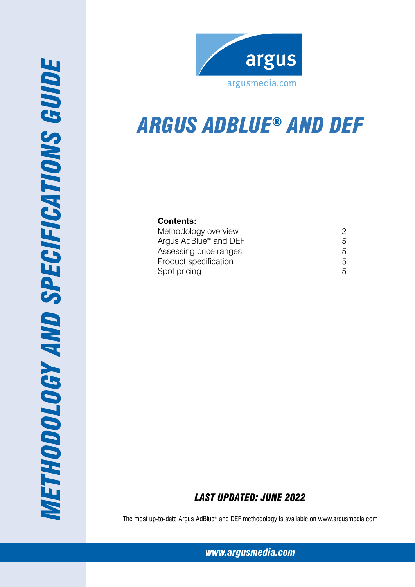



# *Argus AdBlue® and DEF*

# **Contents:**

| Methodology overview              |    |
|-----------------------------------|----|
| Argus AdBlue <sup>®</sup> and DEF | 5. |
| Assessing price ranges            | 5  |
| Product specification             | 5. |
| Spot pricing                      | 5. |

# *Last Updated: June 2022*

The most up-to-date Argus AdBlue® and DEF methodology is available on www.argusmedia.com

*[www.argusmedia.com](http://www.argusmediagroup.com)*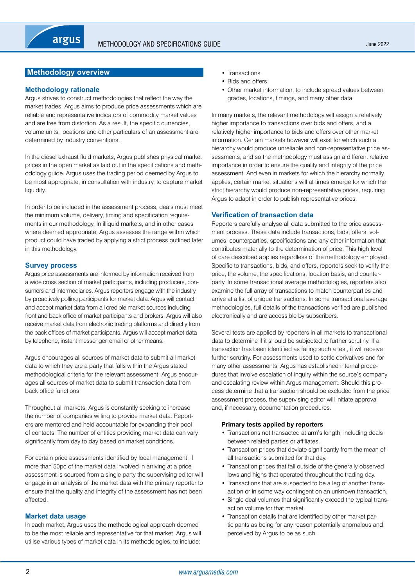# <span id="page-1-0"></span>**Methodology overview**

#### **Methodology rationale**

Argus strives to construct methodologies that reflect the way the market trades. Argus aims to produce price assessments which are reliable and representative indicators of commodity market values and are free from distortion. As a result, the specific currencies, volume units, locations and other particulars of an assessment are determined by industry conventions.

In the diesel exhaust fluid markets, Argus publishes physical market prices in the open market as laid out in the specifications and methodology guide. Argus uses the trading period deemed by Argus to be most appropriate, in consultation with industry, to capture market liquidity.

In order to be included in the assessment process, deals must meet the minimum volume, delivery, timing and specification requirements in our methodology. In illiquid markets, and in other cases where deemed appropriate, Argus assesses the range within which product could have traded by applying a strict process outlined later in this methodology.

#### **Survey process**

Argus price assessments are informed by information received from a wide cross section of market participants, including producers, consumers and intermediaries. Argus reporters engage with the industry by proactively polling participants for market data. Argus will contact and accept market data from all credible market sources including front and back office of market participants and brokers. Argus will also receive market data from electronic trading platforms and directly from the back offices of market participants. Argus will accept market data by telephone, instant messenger, email or other means.

Argus encourages all sources of market data to submit all market data to which they are a party that falls within the Argus stated methodological criteria for the relevant assessment. Argus encourages all sources of market data to submit transaction data from back office functions.

Throughout all markets, Argus is constantly seeking to increase the number of companies willing to provide market data. Reporters are mentored and held accountable for expanding their pool of contacts. The number of entities providing market data can vary significantly from day to day based on market conditions.

For certain price assessments identified by local management, if more than 50pc of the market data involved in arriving at a price assessment is sourced from a single party the supervising editor will engage in an analysis of the market data with the primary reporter to ensure that the quality and integrity of the assessment has not been affected.

#### **Market data usage**

In each market, Argus uses the methodological approach deemed to be the most reliable and representative for that market. Argus will utilise various types of market data in its methodologies, to include:

- Transactions
- Bids and offers
- Other market information, to include spread values between grades, locations, timings, and many other data.

In many markets, the relevant methodology will assign a relatively higher importance to transactions over bids and offers, and a relatively higher importance to bids and offers over other market information. Certain markets however will exist for which such a hierarchy would produce unreliable and non-representative price assessments, and so the methodology must assign a different relative importance in order to ensure the quality and integrity of the price assessment. And even in markets for which the hierarchy normally applies, certain market situations will at times emerge for which the strict hierarchy would produce non-representative prices, requiring Argus to adapt in order to publish representative prices.

#### **Verification of transaction data**

Reporters carefully analyse all data submitted to the price assessment process. These data include transactions, bids, offers, volumes, counterparties, specifications and any other information that contributes materially to the determination of price. This high level of care described applies regardless of the methodology employed. Specific to transactions, bids, and offers, reporters seek to verify the price, the volume, the specifications, location basis, and counterparty. In some transactional average methodologies, reporters also examine the full array of transactions to match counterparties and arrive at a list of unique transactions. In some transactional average methodologies, full details of the transactions verified are published electronically and are accessible by subscribers.

Several tests are applied by reporters in all markets to transactional data to determine if it should be subjected to further scrutiny. If a transaction has been identified as failing such a test, it will receive further scrutiny. For assessments used to settle derivatives and for many other assessments, Argus has established internal procedures that involve escalation of inquiry within the source's company and escalating review within Argus management. Should this process determine that a transaction should be excluded from the price assessment process, the supervising editor will initiate approval and, if necessary, documentation procedures.

#### **Primary tests applied by reporters**

- Transactions not transacted at arm's length, including deals between related parties or affiliates.
- Transaction prices that deviate significantly from the mean of all transactions submitted for that day.
- Transaction prices that fall outside of the generally observed lows and highs that operated throughout the trading day.
- Transactions that are suspected to be a leg of another transaction or in some way contingent on an unknown transaction.
- Single deal volumes that significantly exceed the typical transaction volume for that market.
- Transaction details that are identified by other market participants as being for any reason potentially anomalous and perceived by Argus to be as such.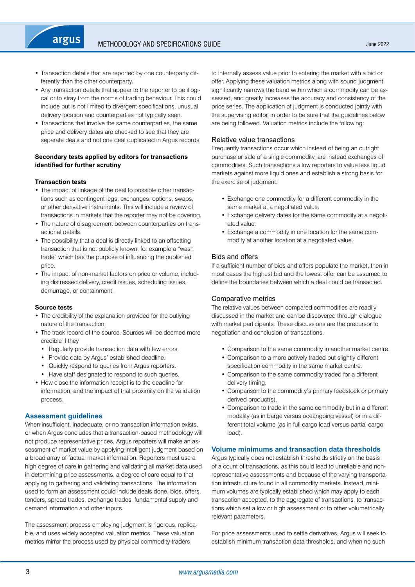- Transaction details that are reported by one counterparty differently than the other counterparty.
- Any transaction details that appear to the reporter to be illogical or to stray from the norms of trading behaviour. This could include but is not limited to divergent specifications, unusual delivery location and counterparties not typically seen.
- Transactions that involve the same counterparties, the same price and delivery dates are checked to see that they are separate deals and not one deal duplicated in Argus records.

## **Secondary tests applied by editors for transactions identified for further scrutiny**

#### **Transaction tests**

argus

- The impact of linkage of the deal to possible other transactions such as contingent legs, exchanges, options, swaps, or other derivative instruments. This will include a review of transactions in markets that the reporter may not be covering.
- The nature of disagreement between counterparties on transactional details.
- The possibility that a deal is directly linked to an offsetting transaction that is not publicly known, for example a "wash trade" which has the purpose of influencing the published price.
- The impact of non-market factors on price or volume, including distressed delivery, credit issues, scheduling issues, demurrage, or containment.

#### **Source tests**

- The credibility of the explanation provided for the outlying nature of the transaction.
- The track record of the source. Sources will be deemed more credible if they
	- Regularly provide transaction data with few errors.
	- Provide data by Argus' established deadline.
	- Quickly respond to queries from Argus reporters.
- Have staff designated to respond to such queries.
- How close the information receipt is to the deadline for information, and the impact of that proximity on the validation process.

#### **Assessment guidelines**

When insufficient, inadequate, or no transaction information exists, or when Argus concludes that a transaction-based methodology will not produce representative prices, Argus reporters will make an assessment of market value by applying intelligent judgment based on a broad array of factual market information. Reporters must use a high degree of care in gathering and validating all market data used in determining price assessments, a degree of care equal to that applying to gathering and validating transactions. The information used to form an assessment could include deals done, bids, offers, tenders, spread trades, exchange trades, fundamental supply and demand information and other inputs.

The assessment process employing judgment is rigorous, replicable, and uses widely accepted valuation metrics. These valuation metrics mirror the process used by physical commodity traders

to internally assess value prior to entering the market with a bid or offer. Applying these valuation metrics along with sound judgment significantly narrows the band within which a commodity can be assessed, and greatly increases the accuracy and consistency of the price series. The application of judgment is conducted jointly with the supervising editor, in order to be sure that the guidelines below are being followed. Valuation metrics include the following:

#### Relative value transactions

Frequently transactions occur which instead of being an outright purchase or sale of a single commodity, are instead exchanges of commodities. Such transactions allow reporters to value less liquid markets against more liquid ones and establish a strong basis for the exercise of judgment.

- Exchange one commodity for a different commodity in the same market at a negotiated value.
- Exchange delivery dates for the same commodity at a negotiated value.
- Exchange a commodity in one location for the same commodity at another location at a negotiated value.

#### Bids and offers

If a sufficient number of bids and offers populate the market, then in most cases the highest bid and the lowest offer can be assumed to define the boundaries between which a deal could be transacted.

#### Comparative metrics

The relative values between compared commodities are readily discussed in the market and can be discovered through dialogue with market participants. These discussions are the precursor to negotiation and conclusion of transactions.

- Comparison to the same commodity in another market centre.
- Comparison to a more actively traded but slightly different specification commodity in the same market centre.
- Comparison to the same commodity traded for a different delivery timing.
- Comparison to the commodity's primary feedstock or primary derived product(s).
- Comparison to trade in the same commodity but in a different modality (as in barge versus oceangoing vessel) or in a different total volume (as in full cargo load versus partial cargo load).

#### **Volume minimums and transaction data thresholds**

Argus typically does not establish thresholds strictly on the basis of a count of transactions, as this could lead to unreliable and nonrepresentative assessments and because of the varying transportation infrastructure found in all commodity markets. Instead, minimum volumes are typically established which may apply to each transaction accepted, to the aggregate of transactions, to transactions which set a low or high assessment or to other volumetrically relevant parameters.

For price assessments used to settle derivatives, Argus will seek to establish minimum transaction data thresholds, and when no such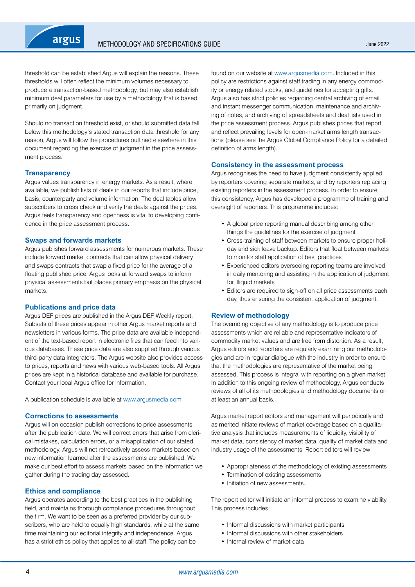

threshold can be established Argus will explain the reasons. These thresholds will often reflect the minimum volumes necessary to produce a transaction-based methodology, but may also establish minimum deal parameters for use by a methodology that is based primarily on judgment.

Should no transaction threshold exist, or should submitted data fall below this methodology's stated transaction data threshold for any reason, Argus will follow the procedures outlined elsewhere in this document regarding the exercise of judgment in the price assessment process.

#### **Transparency**

Argus values transparency in energy markets. As a result, where available, we publish lists of deals in our reports that include price, basis, counterparty and volume information. The deal tables allow subscribers to cross check and verify the deals against the prices. Argus feels transparency and openness is vital to developing confidence in the price assessment process.

#### **Swaps and forwards markets**

Argus publishes forward assessments for numerous markets. These include forward market contracts that can allow physical delivery and swaps contracts that swap a fixed price for the average of a floating published price. Argus looks at forward swaps to inform physical assessments but places primary emphasis on the physical markets.

#### **Publications and price data**

Argus DEF prices are published in the Argus DEF Weekly report. Subsets of these prices appear in other Argus market reports and newsletters in various forms. The price data are available independent of the text-based report in electronic files that can feed into various databases. These price data are also supplied through various third-party data integrators. The Argus website also provides access to prices, reports and news with various web-based tools. All Argus prices are kept in a historical database and available for purchase. Contact your local Argus office for information.

A publication schedule is available at <www.argusmedia.com>

#### **Corrections to assessments**

Argus will on occasion publish corrections to price assessments after the publication date. We will correct errors that arise from clerical mistakes, calculation errors, or a misapplication of our stated methodology. Argus will not retroactively assess markets based on new information learned after the assessments are published. We make our best effort to assess markets based on the information we gather during the trading day assessed.

#### **Ethics and compliance**

Argus operates according to the best practices in the publishing field, and maintains thorough compliance procedures throughout the firm. We want to be seen as a preferred provider by our subscribers, who are held to equally high standards, while at the same time maintaining our editorial integrity and independence. Argus has a strict ethics policy that applies to all staff. The policy can be

found on our website at <www.argusmedia.com>. Included in this policy are restrictions against staff trading in any energy commodity or energy related stocks, and guidelines for accepting gifts. Argus also has strict policies regarding central archiving of email and instant messenger communication, maintenance and archiving of notes, and archiving of spreadsheets and deal lists used in the price assessment process. Argus publishes prices that report and reflect prevailing levels for open-market arms length transactions (please see the Argus Global Compliance Policy for a detailed definition of arms length).

#### **Consistency in the assessment process**

Argus recognises the need to have judgment consistently applied by reporters covering separate markets, and by reporters replacing existing reporters in the assessment process. In order to ensure this consistency, Argus has developed a programme of training and oversight of reporters. This programme includes:

- A global price reporting manual describing among other things the guidelines for the exercise of judgment
- Cross-training of staff between markets to ensure proper holiday and sick leave backup. Editors that float between markets to monitor staff application of best practices
- Experienced editors overseeing reporting teams are involved in daily mentoring and assisting in the application of judgment for illiquid markets
- Editors are required to sign-off on all price assessments each day, thus ensuring the consistent application of judgment.

#### **Review of methodology**

The overriding objective of any methodology is to produce price assessments which are reliable and representative indicators of commodity market values and are free from distortion. As a result, Argus editors and reporters are regularly examining our methodologies and are in regular dialogue with the industry in order to ensure that the methodologies are representative of the market being assessed. This process is integral with reporting on a given market. In addition to this ongoing review of methodology, Argus conducts reviews of all of its methodologies and methodology documents on at least an annual basis.

Argus market report editors and management will periodically and as merited initiate reviews of market coverage based on a qualitative analysis that includes measurements of liquidity, visibility of market data, consistency of market data, quality of market data and industry usage of the assessments. Report editors will review:

- Appropriateness of the methodology of existing assessments
- Termination of existing assessments
- Initiation of new assessments.

The report editor will initiate an informal process to examine viability. This process includes:

- Informal discussions with market participants
- Informal discussions with other stakeholders
- Internal review of market data